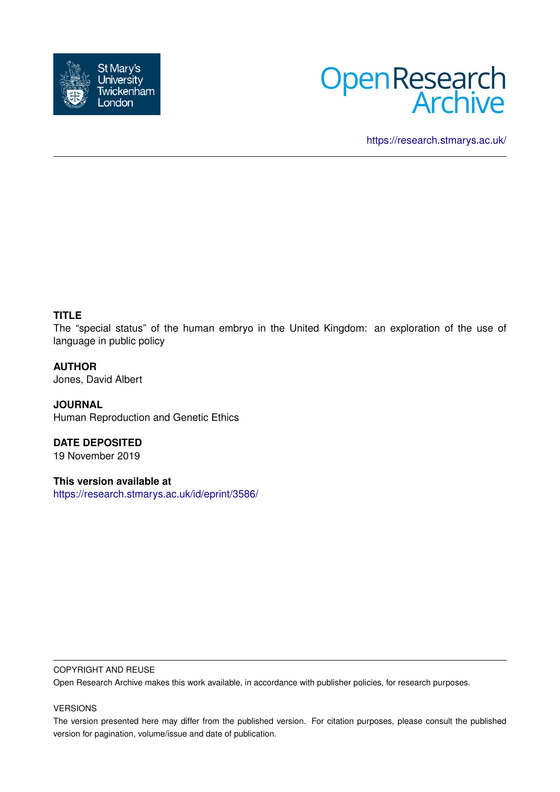



<https://research.stmarys.ac.uk/>

# **TITLE**

The "special status" of the human embryo in the United Kingdom: an exploration of the use of language in public policy

**AUTHOR** Jones, David Albert

**JOURNAL** Human Reproduction and Genetic Ethics

**DATE DEPOSITED** 19 November 2019

**This version available at** <https://research.stmarys.ac.uk/id/eprint/3586/>

#### COPYRIGHT AND REUSE

Open Research Archive makes this work available, in accordance with publisher policies, for research purposes.

#### VERSIONS

The version presented here may differ from the published version. For citation purposes, please consult the published version for pagination, volume/issue and date of publication.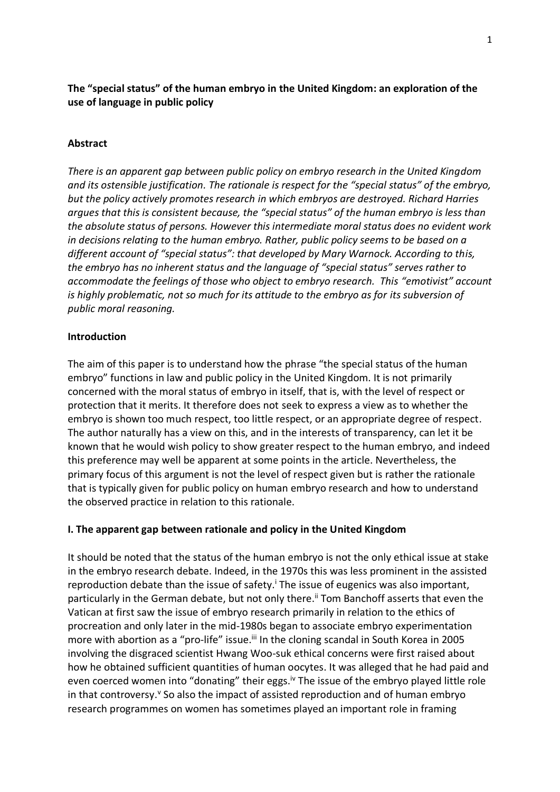**The "special status" of the human embryo in the United Kingdom: an exploration of the use of language in public policy**

### **Abstract**

*There is an apparent gap between public policy on embryo research in the United Kingdom and its ostensible justification. The rationale is respect for the "special status" of the embryo, but the policy actively promotes research in which embryos are destroyed. Richard Harries argues that this is consistent because, the "special status" of the human embryo is less than the absolute status of persons. However this intermediate moral status does no evident work in decisions relating to the human embryo. Rather, public policy seems to be based on a different account of "special status": that developed by Mary Warnock. According to this, the embryo has no inherent status and the language of "special status" serves rather to accommodate the feelings of those who object to embryo research. This "emotivist" account is highly problematic, not so much for its attitude to the embryo as for its subversion of public moral reasoning.*

### **Introduction**

The aim of this paper is to understand how the phrase "the special status of the human embryo" functions in law and public policy in the United Kingdom. It is not primarily concerned with the moral status of embryo in itself, that is, with the level of respect or protection that it merits. It therefore does not seek to express a view as to whether the embryo is shown too much respect, too little respect, or an appropriate degree of respect. The author naturally has a view on this, and in the interests of transparency, can let it be known that he would wish policy to show greater respect to the human embryo, and indeed this preference may well be apparent at some points in the article. Nevertheless, the primary focus of this argument is not the level of respect given but is rather the rationale that is typically given for public policy on human embryo research and how to understand the observed practice in relation to this rationale.

### **I. The apparent gap between rationale and policy in the United Kingdom**

It should be noted that the status of the human embryo is not the only ethical issue at stake in the embryo research debate. Indeed, in the 1970s this was less prominent in the assisted reproduction debate than the issue of safety.<sup>i</sup> The issue of eugenics was also important, particularly in the German debate, but not only there.<sup>ii</sup> Tom Banchoff asserts that even the Vatican at first saw the issue of embryo research primarily in relation to the ethics of procreation and only later in the mid-1980s began to associate embryo experimentation more with abortion as a "pro-life" issue.<sup>iii</sup> In the cloning scandal in South Korea in 2005 involving the disgraced scientist Hwang Woo-suk ethical concerns were first raised about how he obtained sufficient quantities of human oocytes. It was alleged that he had paid and even coerced women into "donating" their eggs.<sup>iv</sup> The issue of the embryo played little role in that controversy.<sup>v</sup> So also the impact of assisted reproduction and of human embryo research programmes on women has sometimes played an important role in framing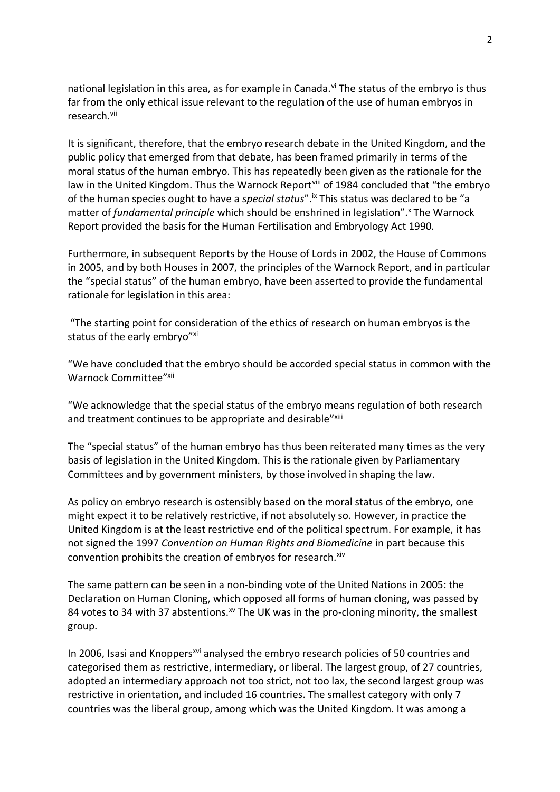national legislation in this area, as for example in Canada.<sup>vi</sup> The status of the embryo is thus far from the only ethical issue relevant to the regulation of the use of human embryos in research.vii

It is significant, therefore, that the embryo research debate in the United Kingdom, and the public policy that emerged from that debate, has been framed primarily in terms of the moral status of the human embryo. This has repeatedly been given as the rationale for the law in the United Kingdom. Thus the Warnock Report<sup>viii</sup> of 1984 concluded that "the embryo of the human species ought to have a *special status"*.<sup>ix</sup> This status was declared to be "a matter of *fundamental principle* which should be enshrined in legislation".<sup>x</sup> The Warnock Report provided the basis for the Human Fertilisation and Embryology Act 1990.

Furthermore, in subsequent Reports by the House of Lords in 2002, the House of Commons in 2005, and by both Houses in 2007, the principles of the Warnock Report, and in particular the "special status" of the human embryo, have been asserted to provide the fundamental rationale for legislation in this area:

"The starting point for consideration of the ethics of research on human embryos is the status of the early embryo"xi

"We have concluded that the embryo should be accorded special status in common with the Warnock Committee"xii

"We acknowledge that the special status of the embryo means regulation of both research and treatment continues to be appropriate and desirable"<sup>xiii</sup>

The "special status" of the human embryo has thus been reiterated many times as the very basis of legislation in the United Kingdom. This is the rationale given by Parliamentary Committees and by government ministers, by those involved in shaping the law.

As policy on embryo research is ostensibly based on the moral status of the embryo, one might expect it to be relatively restrictive, if not absolutely so. However, in practice the United Kingdom is at the least restrictive end of the political spectrum. For example, it has not signed the 1997 *Convention on Human Rights and Biomedicine* in part because this convention prohibits the creation of embryos for research. Xiv

The same pattern can be seen in a non-binding vote of the United Nations in 2005: the Declaration on Human Cloning, which opposed all forms of human cloning, was passed by 84 votes to 34 with 37 abstentions.<sup>xv</sup> The UK was in the pro-cloning minority, the smallest group.

In 2006, Isasi and Knoppers<sup>xvi</sup> analysed the embryo research policies of 50 countries and categorised them as restrictive, intermediary, or liberal. The largest group, of 27 countries, adopted an intermediary approach not too strict, not too lax, the second largest group was restrictive in orientation, and included 16 countries. The smallest category with only 7 countries was the liberal group, among which was the United Kingdom. It was among a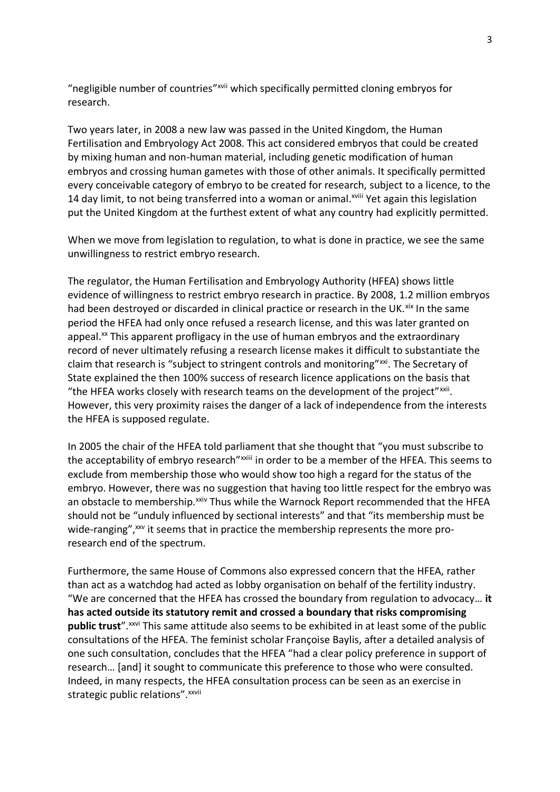"negligible number of countries"<sup>xvii</sup> which specifically permitted cloning embryos for research.

Two years later, in 2008 a new law was passed in the United Kingdom, the Human Fertilisation and Embryology Act 2008. This act considered embryos that could be created by mixing human and non-human material, including genetic modification of human embryos and crossing human gametes with those of other animals. It specifically permitted every conceivable category of embryo to be created for research, subject to a licence, to the 14 day limit, to not being transferred into a woman or animal.<sup>xviii</sup> Yet again this legislation put the United Kingdom at the furthest extent of what any country had explicitly permitted.

When we move from legislation to regulation, to what is done in practice, we see the same unwillingness to restrict embryo research.

The regulator, the Human Fertilisation and Embryology Authority (HFEA) shows little evidence of willingness to restrict embryo research in practice. By 2008, 1.2 million embryos had been destroyed or discarded in clinical practice or research in the UK.<sup>xix</sup> In the same period the HFEA had only once refused a research license, and this was later granted on appeal.<sup>xx</sup> This apparent profligacy in the use of human embryos and the extraordinary record of never ultimately refusing a research license makes it difficult to substantiate the claim that research is "subject to stringent controls and monitoring"xxi. The Secretary of State explained the then 100% success of research licence applications on the basis that "the HFEA works closely with research teams on the development of the project"xxii. However, this very proximity raises the danger of a lack of independence from the interests the HFEA is supposed regulate.

In 2005 the chair of the HFEA told parliament that she thought that "you must subscribe to the acceptability of embryo research"<sup>xxiii</sup> in order to be a member of the HFEA. This seems to exclude from membership those who would show too high a regard for the status of the embryo. However, there was no suggestion that having too little respect for the embryo was an obstacle to membership.<sup>xxiv</sup> Thus while the Warnock Report recommended that the HFEA should not be "unduly influenced by sectional interests" and that "its membership must be wide-ranging", xxv it seems that in practice the membership represents the more proresearch end of the spectrum.

Furthermore, the same House of Commons also expressed concern that the HFEA, rather than act as a watchdog had acted as lobby organisation on behalf of the fertility industry. "We are concerned that the HFEA has crossed the boundary from regulation to advocacy… **it has acted outside its statutory remit and crossed a boundary that risks compromising public trust**".<sup>xxvi</sup> This same attitude also seems to be exhibited in at least some of the public consultations of the HFEA. The feminist scholar Françoise Baylis, after a detailed analysis of one such consultation, concludes that the HFEA "had a clear policy preference in support of research… [and] it sought to communicate this preference to those who were consulted. Indeed, in many respects, the HFEA consultation process can be seen as an exercise in strategic public relations". xxvii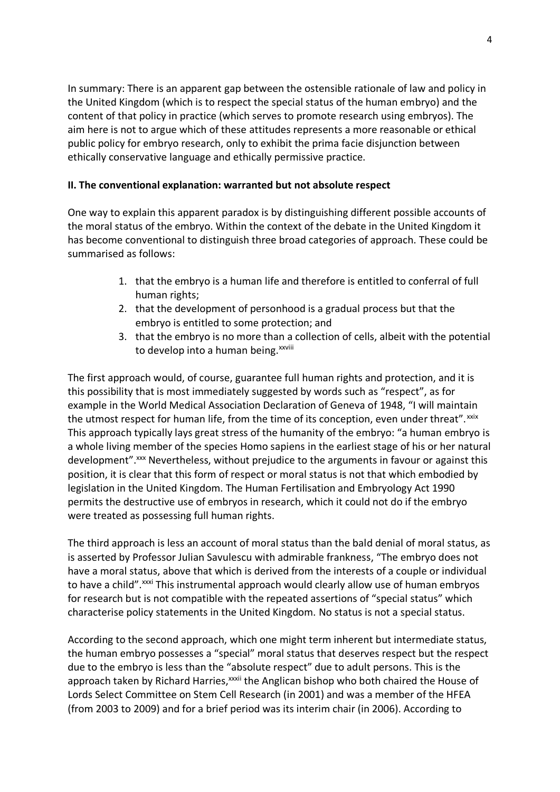In summary: There is an apparent gap between the ostensible rationale of law and policy in the United Kingdom (which is to respect the special status of the human embryo) and the content of that policy in practice (which serves to promote research using embryos). The aim here is not to argue which of these attitudes represents a more reasonable or ethical public policy for embryo research, only to exhibit the prima facie disjunction between ethically conservative language and ethically permissive practice.

## **II. The conventional explanation: warranted but not absolute respect**

One way to explain this apparent paradox is by distinguishing different possible accounts of the moral status of the embryo. Within the context of the debate in the United Kingdom it has become conventional to distinguish three broad categories of approach. These could be summarised as follows:

- 1. that the embryo is a human life and therefore is entitled to conferral of full human rights;
- 2. that the development of personhood is a gradual process but that the embryo is entitled to some protection; and
- 3. that the embryo is no more than a collection of cells, albeit with the potential to develop into a human being. xxviii

The first approach would, of course, guarantee full human rights and protection, and it is this possibility that is most immediately suggested by words such as "respect", as for example in the World Medical Association Declaration of Geneva of 1948, "I will maintain the utmost respect for human life, from the time of its conception, even under threat". xxix This approach typically lays great stress of the humanity of the embryo: "a human embryo is a whole living member of the species Homo sapiens in the earliest stage of his or her natural development".<sup>xxx</sup> Nevertheless, without prejudice to the arguments in favour or against this position, it is clear that this form of respect or moral status is not that which embodied by legislation in the United Kingdom. The Human Fertilisation and Embryology Act 1990 permits the destructive use of embryos in research, which it could not do if the embryo were treated as possessing full human rights.

The third approach is less an account of moral status than the bald denial of moral status, as is asserted by Professor Julian Savulescu with admirable frankness, "The embryo does not have a moral status, above that which is derived from the interests of a couple or individual to have a child". *xxxi* This instrumental approach would clearly allow use of human embryos for research but is not compatible with the repeated assertions of "special status" which characterise policy statements in the United Kingdom. No status is not a special status.

According to the second approach, which one might term inherent but intermediate status, the human embryo possesses a "special" moral status that deserves respect but the respect due to the embryo is less than the "absolute respect" due to adult persons. This is the approach taken by Richard Harries, xxxii the Anglican bishop who both chaired the House of Lords Select Committee on Stem Cell Research (in 2001) and was a member of the HFEA (from 2003 to 2009) and for a brief period was its interim chair (in 2006). According to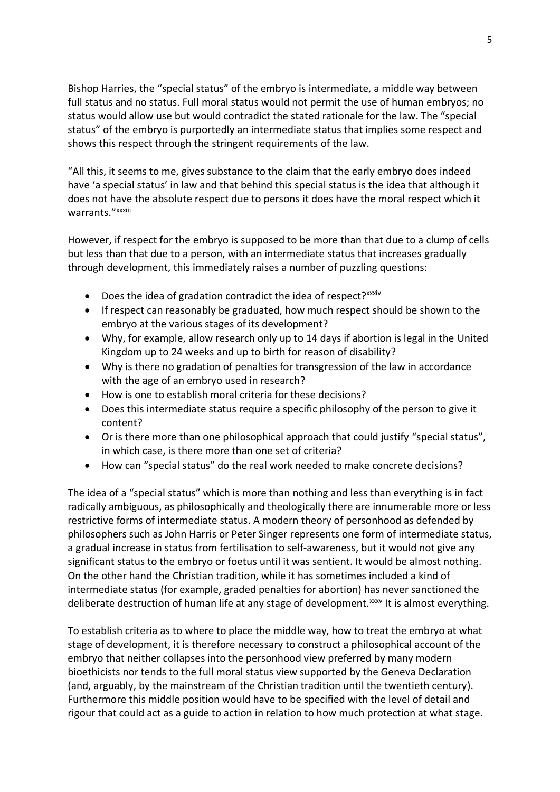Bishop Harries, the "special status" of the embryo is intermediate, a middle way between full status and no status. Full moral status would not permit the use of human embryos; no status would allow use but would contradict the stated rationale for the law. The "special status" of the embryo is purportedly an intermediate status that implies some respect and shows this respect through the stringent requirements of the law.

"All this, it seems to me, gives substance to the claim that the early embryo does indeed have 'a special status' in law and that behind this special status is the idea that although it does not have the absolute respect due to persons it does have the moral respect which it warrants."<sup>xxxiii</sup>

However, if respect for the embryo is supposed to be more than that due to a clump of cells but less than that due to a person, with an intermediate status that increases gradually through development, this immediately raises a number of puzzling questions:

- Does the idea of gradation contradict the idea of respect?<sup>xxxiv</sup>
- If respect can reasonably be graduated, how much respect should be shown to the embryo at the various stages of its development?
- Why, for example, allow research only up to 14 days if abortion is legal in the United Kingdom up to 24 weeks and up to birth for reason of disability?
- Why is there no gradation of penalties for transgression of the law in accordance with the age of an embryo used in research?
- How is one to establish moral criteria for these decisions?
- Does this intermediate status require a specific philosophy of the person to give it content?
- Or is there more than one philosophical approach that could justify "special status", in which case, is there more than one set of criteria?
- How can "special status" do the real work needed to make concrete decisions?

The idea of a "special status" which is more than nothing and less than everything is in fact radically ambiguous, as philosophically and theologically there are innumerable more or less restrictive forms of intermediate status. A modern theory of personhood as defended by philosophers such as John Harris or Peter Singer represents one form of intermediate status, a gradual increase in status from fertilisation to self-awareness, but it would not give any significant status to the embryo or foetus until it was sentient. It would be almost nothing. On the other hand the Christian tradition, while it has sometimes included a kind of intermediate status (for example, graded penalties for abortion) has never sanctioned the deliberate destruction of human life at any stage of development.<sup>xxxv</sup> It is almost everything.

To establish criteria as to where to place the middle way, how to treat the embryo at what stage of development, it is therefore necessary to construct a philosophical account of the embryo that neither collapses into the personhood view preferred by many modern bioethicists nor tends to the full moral status view supported by the Geneva Declaration (and, arguably, by the mainstream of the Christian tradition until the twentieth century). Furthermore this middle position would have to be specified with the level of detail and rigour that could act as a guide to action in relation to how much protection at what stage.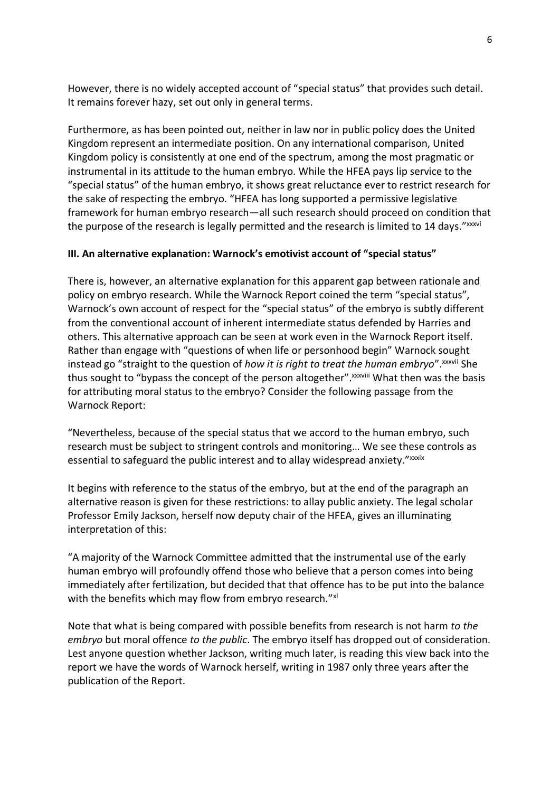However, there is no widely accepted account of "special status" that provides such detail. It remains forever hazy, set out only in general terms.

Furthermore, as has been pointed out, neither in law nor in public policy does the United Kingdom represent an intermediate position. On any international comparison, United Kingdom policy is consistently at one end of the spectrum, among the most pragmatic or instrumental in its attitude to the human embryo. While the HFEA pays lip service to the "special status" of the human embryo, it shows great reluctance ever to restrict research for the sake of respecting the embryo. "HFEA has long supported a permissive legislative framework for human embryo research—all such research should proceed on condition that the purpose of the research is legally permitted and the research is limited to 14 days." xxxvi

## **III. An alternative explanation: Warnock's emotivist account of "special status"**

There is, however, an alternative explanation for this apparent gap between rationale and policy on embryo research. While the Warnock Report coined the term "special status", Warnock's own account of respect for the "special status" of the embryo is subtly different from the conventional account of inherent intermediate status defended by Harries and others. This alternative approach can be seen at work even in the Warnock Report itself. Rather than engage with "questions of when life or personhood begin" Warnock sought instead go "straight to the question of *how it is right to treat the human embryo*".<sup>xxxvii</sup> She thus sought to "bypass the concept of the person altogether".<sup>xxxviii</sup> What then was the basis for attributing moral status to the embryo? Consider the following passage from the Warnock Report:

"Nevertheless, because of the special status that we accord to the human embryo, such research must be subject to stringent controls and monitoring… We see these controls as essential to safeguard the public interest and to allay widespread anxiety." xxxix

It begins with reference to the status of the embryo, but at the end of the paragraph an alternative reason is given for these restrictions: to allay public anxiety. The legal scholar Professor Emily Jackson, herself now deputy chair of the HFEA, gives an illuminating interpretation of this:

"A majority of the Warnock Committee admitted that the instrumental use of the early human embryo will profoundly offend those who believe that a person comes into being immediately after fertilization, but decided that that offence has to be put into the balance with the benefits which may flow from embryo research."xl

Note that what is being compared with possible benefits from research is not harm *to the embryo* but moral offence *to the public*. The embryo itself has dropped out of consideration. Lest anyone question whether Jackson, writing much later, is reading this view back into the report we have the words of Warnock herself, writing in 1987 only three years after the publication of the Report.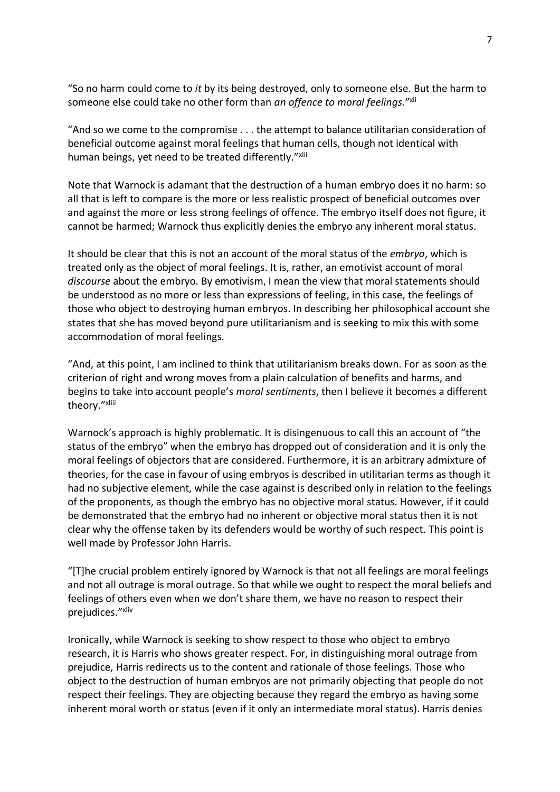"So no harm could come to *it* by its being destroyed, only to someone else. But the harm to someone else could take no other form than *an offence to moral feelings*."xli

"And so we come to the compromise . . . the attempt to balance utilitarian consideration of beneficial outcome against moral feelings that human cells, though not identical with human beings, yet need to be treated differently." xlii

Note that Warnock is adamant that the destruction of a human embryo does it no harm: so all that is left to compare is the more or less realistic prospect of beneficial outcomes over and against the more or less strong feelings of offence. The embryo itself does not figure, it cannot be harmed; Warnock thus explicitly denies the embryo any inherent moral status.

It should be clear that this is not an account of the moral status of the *embryo*, which is treated only as the object of moral feelings. It is, rather, an emotivist account of moral *discourse* about the embryo. By emotivism, I mean the view that moral statements should be understood as no more or less than expressions of feeling, in this case, the feelings of those who object to destroying human embryos. In describing her philosophical account she states that she has moved beyond pure utilitarianism and is seeking to mix this with some accommodation of moral feelings.

"And, at this point, I am inclined to think that utilitarianism breaks down. For as soon as the criterion of right and wrong moves from a plain calculation of benefits and harms, and begins to take into account people's *moral sentiments*, then I believe it becomes a different theory."xliii

Warnock's approach is highly problematic. It is disingenuous to call this an account of "the status of the embryo" when the embryo has dropped out of consideration and it is only the moral feelings of objectors that are considered. Furthermore, it is an arbitrary admixture of theories, for the case in favour of using embryos is described in utilitarian terms as though it had no subjective element, while the case against is described only in relation to the feelings of the proponents, as though the embryo has no objective moral status. However, if it could be demonstrated that the embryo had no inherent or objective moral status then it is not clear why the offense taken by its defenders would be worthy of such respect. This point is well made by Professor John Harris.

"[T]he crucial problem entirely ignored by Warnock is that not all feelings are moral feelings and not all outrage is moral outrage. So that while we ought to respect the moral beliefs and feelings of others even when we don't share them, we have no reason to respect their prejudices."xliv

Ironically, while Warnock is seeking to show respect to those who object to embryo research, it is Harris who shows greater respect. For, in distinguishing moral outrage from prejudice, Harris redirects us to the content and rationale of those feelings. Those who object to the destruction of human embryos are not primarily objecting that people do not respect their feelings. They are objecting because they regard the embryo as having some inherent moral worth or status (even if it only an intermediate moral status). Harris denies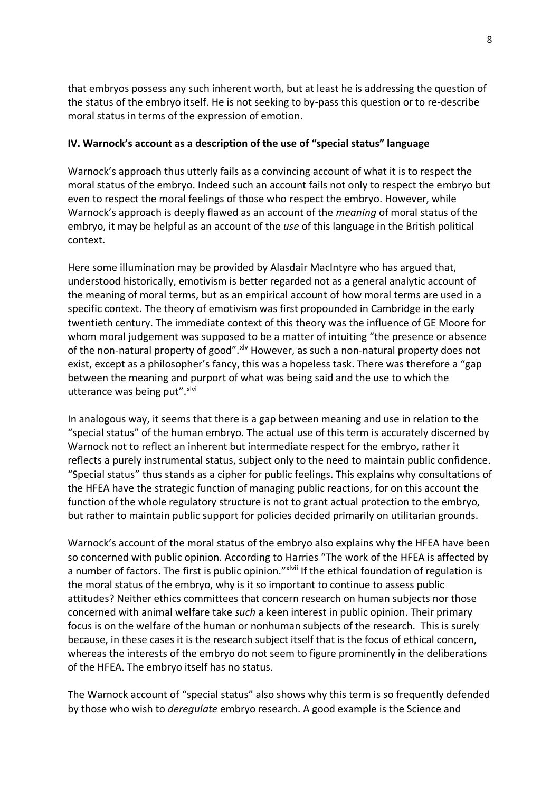that embryos possess any such inherent worth, but at least he is addressing the question of the status of the embryo itself. He is not seeking to by-pass this question or to re-describe moral status in terms of the expression of emotion.

## **IV. Warnock's account as a description of the use of "special status" language**

Warnock's approach thus utterly fails as a convincing account of what it is to respect the moral status of the embryo. Indeed such an account fails not only to respect the embryo but even to respect the moral feelings of those who respect the embryo. However, while Warnock's approach is deeply flawed as an account of the *meaning* of moral status of the embryo, it may be helpful as an account of the *use* of this language in the British political context.

Here some illumination may be provided by Alasdair MacIntyre who has argued that, understood historically, emotivism is better regarded not as a general analytic account of the meaning of moral terms, but as an empirical account of how moral terms are used in a specific context. The theory of emotivism was first propounded in Cambridge in the early twentieth century. The immediate context of this theory was the influence of GE Moore for whom moral judgement was supposed to be a matter of intuiting "the presence or absence of the non-natural property of good". XIV However, as such a non-natural property does not exist, except as a philosopher's fancy, this was a hopeless task. There was therefore a "gap between the meaning and purport of what was being said and the use to which the utterance was being put". xlvi

In analogous way, it seems that there is a gap between meaning and use in relation to the "special status" of the human embryo. The actual use of this term is accurately discerned by Warnock not to reflect an inherent but intermediate respect for the embryo, rather it reflects a purely instrumental status, subject only to the need to maintain public confidence. "Special status" thus stands as a cipher for public feelings. This explains why consultations of the HFEA have the strategic function of managing public reactions, for on this account the function of the whole regulatory structure is not to grant actual protection to the embryo, but rather to maintain public support for policies decided primarily on utilitarian grounds.

Warnock's account of the moral status of the embryo also explains why the HFEA have been so concerned with public opinion. According to Harries "The work of the HFEA is affected by a number of factors. The first is public opinion." xlvii If the ethical foundation of regulation is the moral status of the embryo, why is it so important to continue to assess public attitudes? Neither ethics committees that concern research on human subjects nor those concerned with animal welfare take *such* a keen interest in public opinion. Their primary focus is on the welfare of the human or nonhuman subjects of the research. This is surely because, in these cases it is the research subject itself that is the focus of ethical concern, whereas the interests of the embryo do not seem to figure prominently in the deliberations of the HFEA. The embryo itself has no status.

The Warnock account of "special status" also shows why this term is so frequently defended by those who wish to *deregulate* embryo research. A good example is the Science and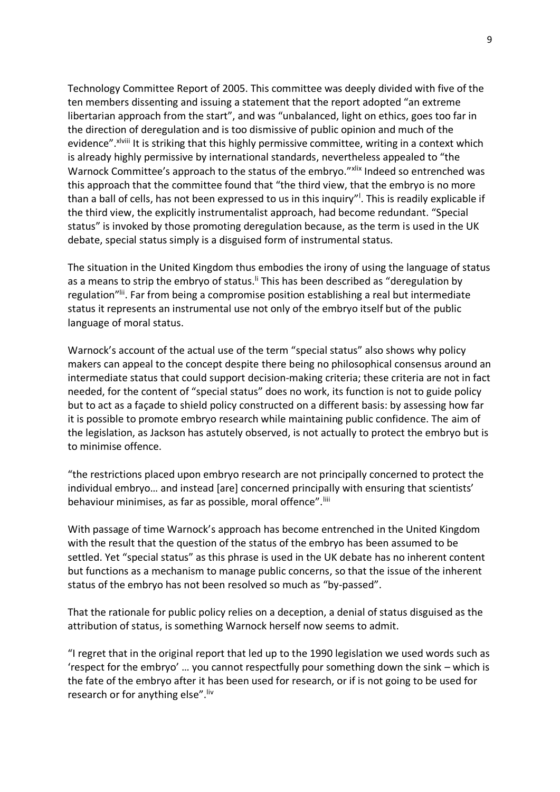Technology Committee Report of 2005. This committee was deeply divided with five of the ten members dissenting and issuing a statement that the report adopted "an extreme libertarian approach from the start", and was "unbalanced, light on ethics, goes too far in the direction of deregulation and is too dismissive of public opinion and much of the evidence". X<sup>lviii</sup> It is striking that this highly permissive committee, writing in a context which is already highly permissive by international standards, nevertheless appealed to "the Warnock Committee's approach to the status of the embryo."<sup>xlix</sup> Indeed so entrenched was this approach that the committee found that "the third view, that the embryo is no more than a ball of cells, has not been expressed to us in this inquiry"<sup>1</sup>. This is readily explicable if the third view, the explicitly instrumentalist approach, had become redundant. "Special status" is invoked by those promoting deregulation because, as the term is used in the UK debate, special status simply is a disguised form of instrumental status.

The situation in the United Kingdom thus embodies the irony of using the language of status as a means to strip the embryo of status.<sup>II</sup> This has been described as "deregulation by regulation"lii. Far from being a compromise position establishing a real but intermediate status it represents an instrumental use not only of the embryo itself but of the public language of moral status.

Warnock's account of the actual use of the term "special status" also shows why policy makers can appeal to the concept despite there being no philosophical consensus around an intermediate status that could support decision-making criteria; these criteria are not in fact needed, for the content of "special status" does no work, its function is not to guide policy but to act as a façade to shield policy constructed on a different basis: by assessing how far it is possible to promote embryo research while maintaining public confidence. The aim of the legislation, as Jackson has astutely observed, is not actually to protect the embryo but is to minimise offence.

"the restrictions placed upon embryo research are not principally concerned to protect the individual embryo… and instead [are] concerned principally with ensuring that scientists' behaviour minimises, as far as possible, moral offence". Iiii

With passage of time Warnock's approach has become entrenched in the United Kingdom with the result that the question of the status of the embryo has been assumed to be settled. Yet "special status" as this phrase is used in the UK debate has no inherent content but functions as a mechanism to manage public concerns, so that the issue of the inherent status of the embryo has not been resolved so much as "by-passed".

That the rationale for public policy relies on a deception, a denial of status disguised as the attribution of status, is something Warnock herself now seems to admit.

"I regret that in the original report that led up to the 1990 legislation we used words such as 'respect for the embryo' … you cannot respectfully pour something down the sink – which is the fate of the embryo after it has been used for research, or if is not going to be used for research or for anything else". liv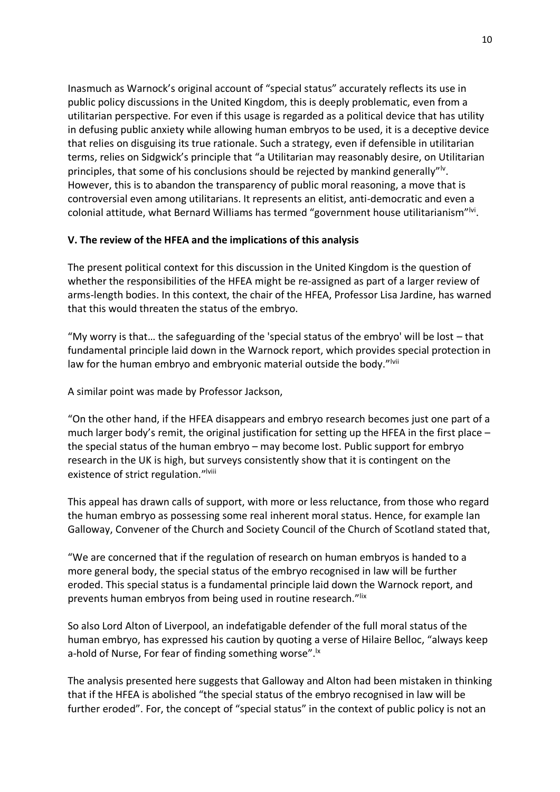Inasmuch as Warnock's original account of "special status" accurately reflects its use in public policy discussions in the United Kingdom, this is deeply problematic, even from a utilitarian perspective. For even if this usage is regarded as a political device that has utility in defusing public anxiety while allowing human embryos to be used, it is a deceptive device that relies on disguising its true rationale. Such a strategy, even if defensible in utilitarian terms, relies on Sidgwick's principle that "a Utilitarian may reasonably desire, on Utilitarian principles, that some of his conclusions should be rejected by mankind generally"<sup>Iv</sup>. However, this is to abandon the transparency of public moral reasoning, a move that is controversial even among utilitarians. It represents an elitist, anti-democratic and even a colonial attitude, what Bernard Williams has termed "government house utilitarianism"<sup>Ivi</sup>.

### **V. The review of the HFEA and the implications of this analysis**

The present political context for this discussion in the United Kingdom is the question of whether the responsibilities of the HFEA might be re-assigned as part of a larger review of arms-length bodies. In this context, the chair of the HFEA, Professor Lisa Jardine, has warned that this would threaten the status of the embryo.

"My worry is that… the safeguarding of the 'special status of the embryo' will be lost – that fundamental principle laid down in the Warnock report, which provides special protection in law for the human embryo and embryonic material outside the body."<sup>Ivii</sup>

A similar point was made by Professor Jackson,

"On the other hand, if the HFEA disappears and embryo research becomes just one part of a much larger body's remit, the original justification for setting up the HFEA in the first place – the special status of the human embryo – may become lost. Public support for embryo research in the UK is high, but surveys consistently show that it is contingent on the existence of strict regulation."<sup>|viii</sup>

This appeal has drawn calls of support, with more or less reluctance, from those who regard the human embryo as possessing some real inherent moral status. Hence, for example Ian Galloway, Convener of the Church and Society Council of the Church of Scotland stated that,

"We are concerned that if the regulation of research on human embryos is handed to a more general body, the special status of the embryo recognised in law will be further eroded. This special status is a fundamental principle laid down the Warnock report, and prevents human embryos from being used in routine research."lix

So also Lord Alton of Liverpool, an indefatigable defender of the full moral status of the human embryo, has expressed his caution by quoting a verse of Hilaire Belloc, "always keep a-hold of Nurse, For fear of finding something worse".<sup>1x</sup>

The analysis presented here suggests that Galloway and Alton had been mistaken in thinking that if the HFEA is abolished "the special status of the embryo recognised in law will be further eroded". For, the concept of "special status" in the context of public policy is not an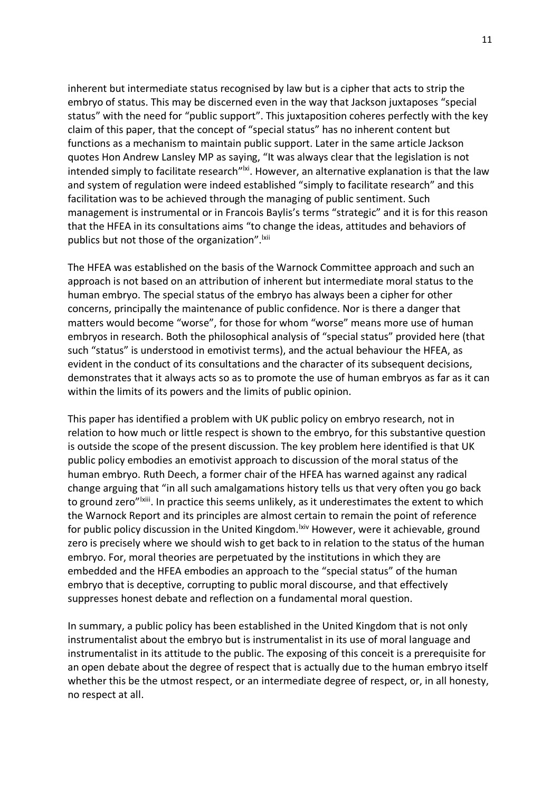inherent but intermediate status recognised by law but is a cipher that acts to strip the embryo of status. This may be discerned even in the way that Jackson juxtaposes "special status" with the need for "public support". This juxtaposition coheres perfectly with the key claim of this paper, that the concept of "special status" has no inherent content but functions as a mechanism to maintain public support. Later in the same article Jackson quotes Hon Andrew Lansley MP as saying, "It was always clear that the legislation is not intended simply to facilitate research"<sup>|xi</sup>. However, an alternative explanation is that the law and system of regulation were indeed established "simply to facilitate research" and this facilitation was to be achieved through the managing of public sentiment. Such management is instrumental or in Francois Baylis's terms "strategic" and it is for this reason that the HFEA in its consultations aims "to change the ideas, attitudes and behaviors of publics but not those of the organization". Ixii

The HFEA was established on the basis of the Warnock Committee approach and such an approach is not based on an attribution of inherent but intermediate moral status to the human embryo. The special status of the embryo has always been a cipher for other concerns, principally the maintenance of public confidence. Nor is there a danger that matters would become "worse", for those for whom "worse" means more use of human embryos in research. Both the philosophical analysis of "special status" provided here (that such "status" is understood in emotivist terms), and the actual behaviour the HFEA, as evident in the conduct of its consultations and the character of its subsequent decisions, demonstrates that it always acts so as to promote the use of human embryos as far as it can within the limits of its powers and the limits of public opinion.

This paper has identified a problem with UK public policy on embryo research, not in relation to how much or little respect is shown to the embryo, for this substantive question is outside the scope of the present discussion. The key problem here identified is that UK public policy embodies an emotivist approach to discussion of the moral status of the human embryo. Ruth Deech, a former chair of the HFEA has warned against any radical change arguing that "in all such amalgamations history tells us that very often you go back to ground zero" kiii. In practice this seems unlikely, as it underestimates the extent to which the Warnock Report and its principles are almost certain to remain the point of reference for public policy discussion in the United Kingdom. Kiv However, were it achievable, ground zero is precisely where we should wish to get back to in relation to the status of the human embryo. For, moral theories are perpetuated by the institutions in which they are embedded and the HFEA embodies an approach to the "special status" of the human embryo that is deceptive, corrupting to public moral discourse, and that effectively suppresses honest debate and reflection on a fundamental moral question.

In summary, a public policy has been established in the United Kingdom that is not only instrumentalist about the embryo but is instrumentalist in its use of moral language and instrumentalist in its attitude to the public. The exposing of this conceit is a prerequisite for an open debate about the degree of respect that is actually due to the human embryo itself whether this be the utmost respect, or an intermediate degree of respect, or, in all honesty, no respect at all.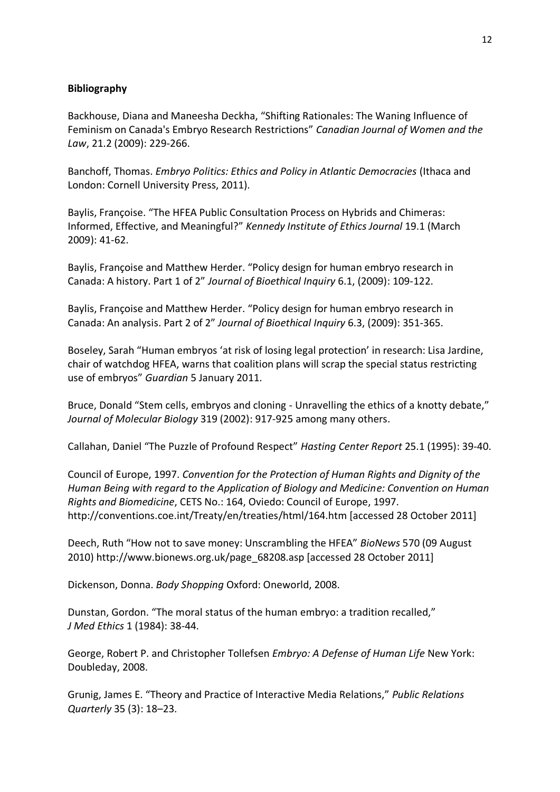### **Bibliography**

Backhouse, Diana and Maneesha Deckha, "Shifting Rationales: The Waning Influence of Feminism on Canada's Embryo Research Restrictions" *Canadian Journal of Women and the Law*, 21.2 (2009): 229-266.

Banchoff, Thomas. *Embryo Politics: Ethics and Policy in Atlantic Democracies* (Ithaca and London: Cornell University Press, 2011).

Baylis, Françoise. "The HFEA Public Consultation Process on Hybrids and Chimeras: Informed, Effective, and Meaningful?" *Kennedy Institute of Ethics Journal* 19.1 (March 2009): 41-62.

Baylis, Françoise and Matthew Herder. "Policy design for human embryo research in Canada: A history. Part 1 of 2" *Journal of Bioethical Inquiry* 6.1, (2009): 109-122.

Baylis, Françoise and Matthew Herder. "Policy design for human embryo research in Canada: An analysis. Part 2 of 2" *Journal of Bioethical Inquiry* 6.3, (2009): 351-365.

Boseley, Sarah "Human embryos 'at risk of losing legal protection' in research: Lisa Jardine, chair of watchdog HFEA, warns that coalition plans will scrap the special status restricting use of embryos" *Guardian* 5 January 2011.

Bruce, Donald "Stem cells, embryos and cloning - Unravelling the ethics of a knotty debate," *Journal of Molecular Biology* 319 (2002): 917-925 among many others.

Callahan, Daniel "The Puzzle of Profound Respect" *Hasting Center Report* 25.1 (1995): 39-40.

Council of Europe, 1997. *Convention for the Protection of Human Rights and Dignity of the Human Being with regard to the Application of Biology and Medicine: Convention on Human Rights and Biomedicine*, CETS No.: 164, Oviedo: Council of Europe, 1997. http://conventions.coe.int/Treaty/en/treaties/html/164.htm [accessed 28 October 2011]

Deech, Ruth "How not to save money: Unscrambling the HFEA" *BioNews* 570 (09 August 2010) http://www.bionews.org.uk/page\_68208.asp [accessed 28 October 2011]

Dickenson, Donna. *Body Shopping* Oxford: Oneworld, 2008.

Dunstan, Gordon. "The moral status of the human embryo: a tradition recalled," *J Med Ethics* 1 (1984): 38-44.

George, Robert P. and Christopher Tollefsen *Embryo: A Defense of Human Life* New York: Doubleday, 2008.

Grunig, James E. "Theory and Practice of Interactive Media Relations," *Public Relations Quarterly* 35 (3): 18–23.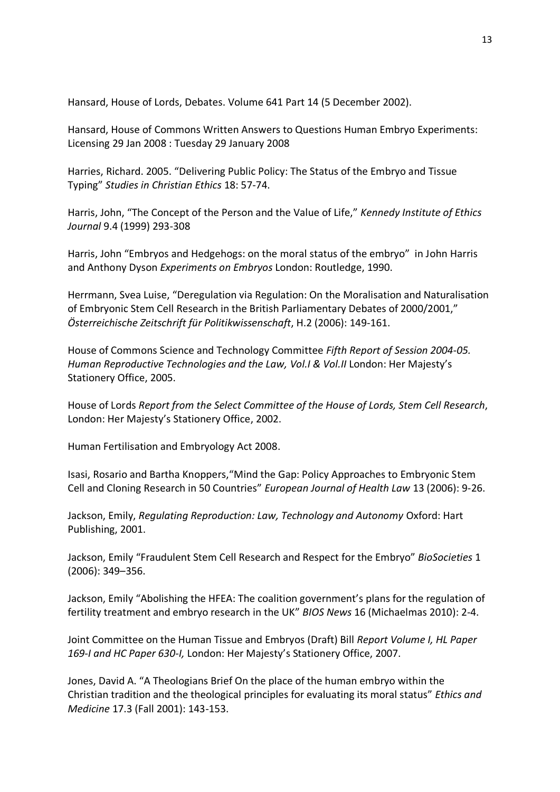Hansard, House of Lords, Debates. Volume 641 Part 14 (5 December 2002).

Hansard, House of Commons Written Answers to Questions Human Embryo Experiments: Licensing 29 Jan 2008 : Tuesday 29 January 2008

Harries, Richard. 2005. "Delivering Public Policy: The Status of the Embryo and Tissue Typing" *Studies in Christian Ethics* 18: 57-74.

Harris, John, "The Concept of the Person and the Value of Life," *Kennedy Institute of Ethics Journal* 9.4 (1999) 293-308

Harris, John "Embryos and Hedgehogs: on the moral status of the embryo" in John Harris and Anthony Dyson *Experiments on Embryos* London: Routledge, 1990.

Herrmann, Svea Luise, "Deregulation via Regulation: On the Moralisation and Naturalisation of Embryonic Stem Cell Research in the British Parliamentary Debates of 2000/2001," *Österreichische Zeitschrift für Politikwissenschaft*, H.2 (2006): 149-161.

House of Commons Science and Technology Committee *Fifth Report of Session 2004-05. Human Reproductive Technologies and the Law, Vol.I & Vol.II* London: Her Majesty's Stationery Office, 2005.

House of Lords *Report from the Select Committee of the House of Lords, Stem Cell Research*, London: Her Majesty's Stationery Office, 2002.

Human Fertilisation and Embryology Act 2008.

Isasi, Rosario and Bartha Knoppers,"Mind the Gap: Policy Approaches to Embryonic Stem Cell and Cloning Research in 50 Countries" *European Journal of Health Law* 13 (2006): 9-26.

Jackson, Emily, *Regulating Reproduction: Law, Technology and Autonomy* Oxford: Hart Publishing, 2001.

Jackson, Emily "Fraudulent Stem Cell Research and Respect for the Embryo" *BioSocieties* 1 (2006): 349–356.

Jackson, Emily "Abolishing the HFEA: The coalition government's plans for the regulation of fertility treatment and embryo research in the UK" *BIOS News* 16 (Michaelmas 2010): 2-4.

Joint Committee on the Human Tissue and Embryos (Draft) Bill *Report Volume I, HL Paper 169-I and HC Paper 630-I,* London: Her Majesty's Stationery Office, 2007.

Jones, David A. "A Theologians Brief On the place of the human embryo within the Christian tradition and the theological principles for evaluating its moral status" *Ethics and Medicine* 17.3 (Fall 2001): 143-153.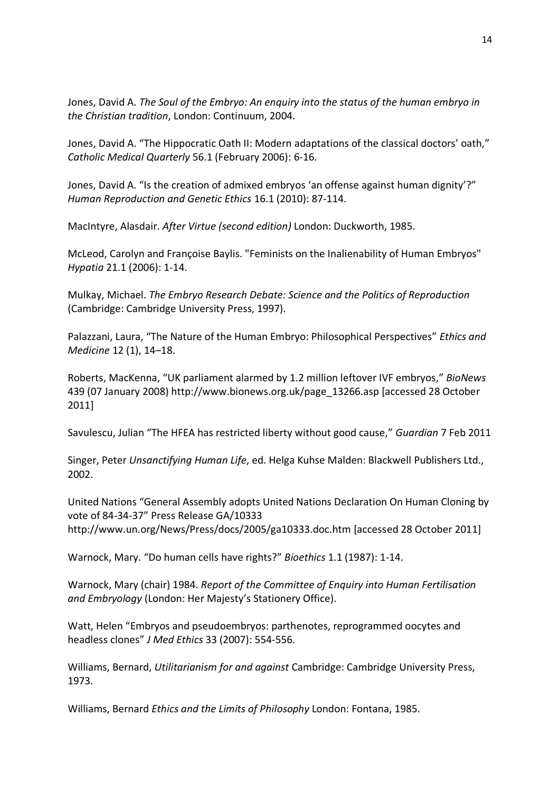Jones, David A. *The Soul of the Embryo: An enquiry into the status of the human embryo in the Christian tradition*, London: Continuum, 2004.

Jones, David A. "The Hippocratic Oath II: Modern adaptations of the classical doctors' oath," *Catholic Medical Quarterly* 56.1 (February 2006): 6-16.

Jones, David A. "Is the creation of admixed embryos 'an offense against human dignity'?" *Human Reproduction and Genetic Ethics* 16.1 (2010): 87-114.

MacIntyre, Alasdair. *After Virtue (second edition)* London: Duckworth, 1985.

McLeod, Carolyn and Françoise Baylis. "Feminists on the Inalienability of Human Embryos" *Hypatia* 21.1 (2006): 1-14.

Mulkay, Michael. *The Embryo Research Debate: Science and the Politics of Reproduction* (Cambridge: Cambridge University Press, 1997).

Palazzani, Laura, "The Nature of the Human Embryo: Philosophical Perspectives" *Ethics and Medicine* 12 (1), 14–18.

Roberts, MacKenna, "UK parliament alarmed by 1.2 million leftover IVF embryos," *BioNews* 439 (07 January 2008) http://www.bionews.org.uk/page\_13266.asp [accessed 28 October 2011]

Savulescu, Julian "The HFEA has restricted liberty without good cause," *Guardian* 7 Feb 2011

Singer, Peter *Unsanctifying Human Life*, ed. Helga Kuhse Malden: Blackwell Publishers Ltd., 2002.

United Nations "General Assembly adopts United Nations Declaration On Human Cloning by vote of 84-34-37" Press Release GA/10333 http://www.un.org/News/Press/docs/2005/ga10333.doc.htm [accessed 28 October 2011]

Warnock, Mary. "Do human cells have rights?" *Bioethics* 1.1 (1987): 1-14.

Warnock, Mary (chair) 1984. *Report of the Committee of Enquiry into Human Fertilisation and Embryology* (London: Her Majesty's Stationery Office).

Watt, Helen "Embryos and pseudoembryos: parthenotes, reprogrammed oocytes and headless clones" *J Med Ethics* 33 (2007): 554-556.

Williams, Bernard, *Utilitarianism for and against* Cambridge: Cambridge University Press, 1973.

Williams, Bernard *Ethics and the Limits of Philosophy* London: Fontana, 1985.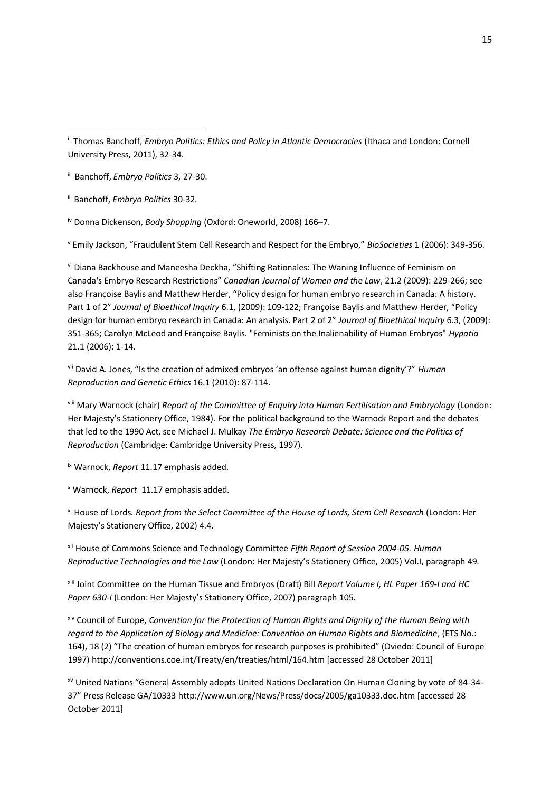ii Banchoff, *Embryo Politics* 3, 27-30.

iii Banchoff, *Embryo Politics* 30-32.

iv Donna Dickenson, *Body Shopping* (Oxford: Oneworld, 2008) 166–7.

<sup>v</sup> Emily Jackson, "Fraudulent Stem Cell Research and Respect for the Embryo," *BioSocieties* 1 (2006): 349-356.

vi Diana Backhouse and Maneesha Deckha, "Shifting Rationales: The Waning Influence of Feminism on Canada's Embryo Research Restrictions" *Canadian Journal of Women and the Law*, 21.2 (2009): 229-266; see also Françoise Baylis and Matthew Herder, "Policy design for human embryo research in Canada: A history. Part 1 of 2" *Journal of Bioethical Inquiry* 6.1, (2009): 109-122; Françoise Baylis and Matthew Herder, "Policy design for human embryo research in Canada: An analysis. Part 2 of 2" *Journal of Bioethical Inquiry* 6.3, (2009): 351-365; Carolyn McLeod and Françoise Baylis. "Feminists on the Inalienability of Human Embryos" *Hypatia*  21.1 (2006): 1-14.

vii David A. Jones, "Is the creation of admixed embryos 'an offense against human dignity'?" *Human Reproduction and Genetic Ethics* 16.1 (2010): 87-114.

viii Mary Warnock (chair) *Report of the Committee of Enquiry into Human Fertilisation and Embryology* (London: Her Majesty's Stationery Office, 1984). For the political background to the Warnock Report and the debates that led to the 1990 Act, see Michael J. Mulkay *The Embryo Research Debate: Science and the Politics of Reproduction* (Cambridge: Cambridge University Press, 1997).

ix Warnock, *Report* 11.17 emphasis added.

<sup>x</sup> Warnock, *Report* 11.17 emphasis added.

xi House of Lords. *Report from the Select Committee of the House of Lords, Stem Cell Research* (London: Her Majesty's Stationery Office, 2002) 4.4.

xii House of Commons Science and Technology Committee *Fifth Report of Session 2004-05. Human Reproductive Technologies and the Law* (London: Her Majesty's Stationery Office, 2005) Vol.I, paragraph 49.

xiii Joint Committee on the Human Tissue and Embryos (Draft) Bill *Report Volume I, HL Paper 169-I and HC Paper 630-I* (London: Her Majesty's Stationery Office, 2007) paragraph 105.

xiv Council of Europe, *Convention for the Protection of Human Rights and Dignity of the Human Being with regard to the Application of Biology and Medicine: Convention on Human Rights and Biomedicine*, (ETS No.: 164), 18 (2) "The creation of human embryos for research purposes is prohibited" (Oviedo: Council of Europe 1997) http://conventions.coe.int/Treaty/en/treaties/html/164.htm [accessed 28 October 2011]

xv United Nations "General Assembly adopts United Nations Declaration On Human Cloning by vote of 84-34- 37" Press Release GA/10333 http://www.un.org/News/Press/docs/2005/ga10333.doc.htm [accessed 28 October 2011]

i Thomas Banchoff, *Embryo Politics: Ethics and Policy in Atlantic Democracies* (Ithaca and London: Cornell University Press, 2011), 32-34.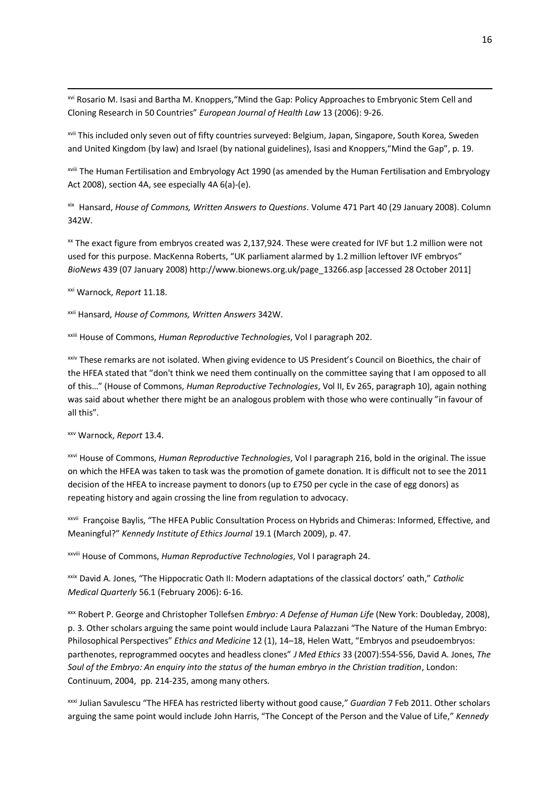xvi Rosario M. Isasi and Bartha M. Knoppers,"Mind the Gap: Policy Approaches to Embryonic Stem Cell and Cloning Research in 50 Countries" *European Journal of Health Law* 13 (2006): 9-26.

xvii This included only seven out of fifty countries surveyed: Belgium, Japan, Singapore, South Korea, Sweden and United Kingdom (by law) and Israel (by national guidelines), Isasi and Knoppers, "Mind the Gap", p. 19.

xviii The Human Fertilisation and Embryology Act 1990 (as amended by the Human Fertilisation and Embryology Act 2008), section 4A, see especially 4A 6(a)-(e).

xix Hansard, *House of Commons, Written Answers to Questions*. Volume 471 Part 40 (29 January 2008). Column 342W.

xx The exact figure from embryos created was 2,137,924. These were created for IVF but 1.2 million were not used for this purpose. MacKenna Roberts, "UK parliament alarmed by 1.2 million leftover IVF embryos" *BioNews* 439 (07 January 2008) http://www.bionews.org.uk/page\_13266.asp [accessed 28 October 2011]

xxi Warnock, *Report* 11.18.

xxii Hansard, *House of Commons, Written Answers* 342W.

xxiii House of Commons, *Human Reproductive Technologies*, Vol I paragraph 202.

xxiv These remarks are not isolated. When giving evidence to US President's Council on Bioethics, the chair of the HFEA stated that "don't think we need them continually on the committee saying that I am opposed to all of this…" (House of Commons, *Human Reproductive Technologies*, Vol II, Ev 265, paragraph 10), again nothing was said about whether there might be an analogous problem with those who were continually "in favour of all this".

xxv Warnock, *Report* 13.4.

xxvi House of Commons, *Human Reproductive Technologies*, Vol I paragraph 216, bold in the original. The issue on which the HFEA was taken to task was the promotion of gamete donation. It is difficult not to see the 2011 decision of the HFEA to increase payment to donors (up to £750 per cycle in the case of egg donors) as repeating history and again crossing the line from regulation to advocacy.

xxvii Françoise Baylis, "The HFEA Public Consultation Process on Hybrids and Chimeras: Informed, Effective, and Meaningful?" *Kennedy Institute of Ethics Journal* 19.1 (March 2009), p. 47.

xxviii House of Commons, *Human Reproductive Technologies*, Vol I paragraph 24.

xxix David A. Jones, "The Hippocratic Oath II: Modern adaptations of the classical doctors' oath," *Catholic Medical Quarterly* 56.1 (February 2006): 6-16.

xxx Robert P. George and Christopher Tollefsen *Embryo: A Defense of Human Life* (New York: Doubleday, 2008), p. 3. Other scholars arguing the same point would include Laura Palazzani "The Nature of the Human Embryo: Philosophical Perspectives" *Ethics and Medicine* 12 (1), 14–18, Helen Watt, "Embryos and pseudoembryos: parthenotes, reprogrammed oocytes and headless clones" *J Med Ethics* 33 (2007):554-556, David A. Jones, *The Soul of the Embryo: An enquiry into the status of the human embryo in the Christian tradition*, London: Continuum, 2004, pp. 214-235, among many others.

xxxi Julian Savulescu "The HFEA has restricted liberty without good cause," *Guardian* 7 Feb 2011. Other scholars arguing the same point would include John Harris, "The Concept of the Person and the Value of Life," *Kennedy*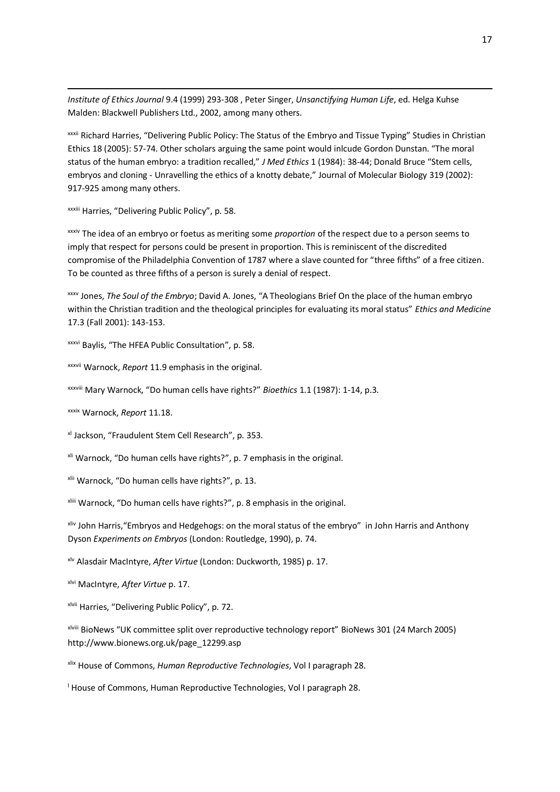*Institute of Ethics Journal* 9.4 (1999) 293-308 , Peter Singer, *Unsanctifying Human Life*, ed. Helga Kuhse Malden: Blackwell Publishers Ltd., 2002, among many others.

xxxii Richard Harries, "Delivering Public Policy: The Status of the Embryo and Tissue Typing" Studies in Christian Ethics 18 (2005): 57-74. Other scholars arguing the same point would inlcude Gordon Dunstan. "The moral status of the human embryo: a tradition recalled," *J Med Ethics* 1 (1984): 38-44; Donald Bruce "Stem cells, embryos and cloning - Unravelling the ethics of a knotty debate," Journal of Molecular Biology 319 (2002): 917-925 among many others.

xxxiii Harries, "Delivering Public Policy", p. 58.

xxxiv The idea of an embryo or foetus as meriting some *proportion* of the respect due to a person seems to imply that respect for persons could be present in proportion. This is reminiscent of the discredited compromise of the Philadelphia Convention of 1787 where a slave counted for "three fifths" of a free citizen. To be counted as three fifths of a person is surely a denial of respect.

xxxv Jones, *The Soul of the Embryo*; David A. Jones, "A Theologians Brief On the place of the human embryo within the Christian tradition and the theological principles for evaluating its moral status" *Ethics and Medicine* 17.3 (Fall 2001): 143-153.

xxxvi Baylis, "The HFEA Public Consultation", p. 58.

xxxvii Warnock, *Report* 11.9 emphasis in the original.

xxxviii Mary Warnock, "Do human cells have rights?" *Bioethics* 1.1 (1987): 1-14, p.3.

xxxix Warnock, *Report* 11.18.

xl Jackson, "Fraudulent Stem Cell Research", p. 353.

<sup>xli</sup> Warnock, "Do human cells have rights?", p. 7 emphasis in the original.

xlii Warnock, "Do human cells have rights?", p. 13.

xliii Warnock, "Do human cells have rights?", p. 8 emphasis in the original.

xliv John Harris, "Embryos and Hedgehogs: on the moral status of the embryo" in John Harris and Anthony Dyson *Experiments on Embryos* (London: Routledge, 1990), p. 74.

xlv Alasdair MacIntyre, *After Virtue* (London: Duckworth, 1985) p. 17.

xlvi MacIntyre, *After Virtue* p. 17.

xlvii Harries, "Delivering Public Policy", p. 72.

xlviii BioNews "UK committee split over reproductive technology report" BioNews 301 (24 March 2005) http://www.bionews.org.uk/page\_12299.asp

xlix House of Commons, *Human Reproductive Technologies*, Vol I paragraph 28.

<sup>l</sup> House of Commons, Human Reproductive Technologies, Vol I paragraph 28.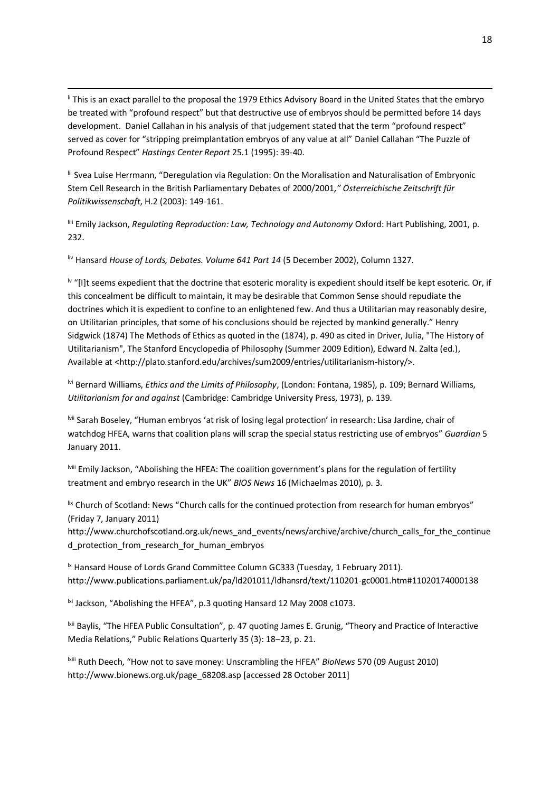li This is an exact parallel to the proposal the 1979 Ethics Advisory Board in the United States that the embryo be treated with "profound respect" but that destructive use of embryos should be permitted before 14 days development. Daniel Callahan in his analysis of that judgement stated that the term "profound respect" served as cover for "stripping preimplantation embryos of any value at all" Daniel Callahan "The Puzzle of Profound Respect" *Hastings Center Report* 25.1 (1995): 39-40.

lii Svea Luise Herrmann, "Deregulation via Regulation: On the Moralisation and Naturalisation of Embryonic Stem Cell Research in the British Parliamentary Debates of 2000/2001*," Österreichische Zeitschrift für Politikwissenschaft*, H.2 (2003): 149-161.

liii Emily Jackson, *Regulating Reproduction: Law, Technology and Autonomy* Oxford: Hart Publishing, 2001, p. 232.

liv Hansard *House of Lords, Debates. Volume 641 Part 14* (5 December 2002), Column 1327.

 $N$  "[I]t seems expedient that the doctrine that esoteric morality is expedient should itself be kept esoteric. Or, if this concealment be difficult to maintain, it may be desirable that Common Sense should repudiate the doctrines which it is expedient to confine to an enlightened few. And thus a Utilitarian may reasonably desire, on Utilitarian principles, that some of his conclusions should be rejected by mankind generally." Henry Sidgwick (1874) The Methods of Ethics as quoted in the (1874), p. 490 as cited in Driver, Julia, "The History of Utilitarianism", The Stanford Encyclopedia of Philosophy (Summer 2009 Edition), Edward N. Zalta (ed.), Available at <http://plato.stanford.edu/archives/sum2009/entries/utilitarianism-history/>.

lvi Bernard Williams, *Ethics and the Limits of Philosophy*, (London: Fontana, 1985), p. 109; Bernard Williams, *Utilitarianism for and against* (Cambridge: Cambridge University Press, 1973), p. 139.

lvii Sarah Boseley, "Human embryos 'at risk of losing legal protection' in research: Lisa Jardine, chair of watchdog HFEA, warns that coalition plans will scrap the special status restricting use of embryos" *Guardian* 5 January 2011.

lviii Emily Jackson, "Abolishing the HFEA: The coalition government's plans for the regulation of fertility treatment and embryo research in the UK" *BIOS News* 16 (Michaelmas 2010), p. 3.

lix Church of Scotland: News "Church calls for the continued protection from research for human embryos" (Friday 7, January 2011)

http://www.churchofscotland.org.uk/news\_and\_events/news/archive/archive/church\_calls\_for\_the\_continue d protection from research for human embryos

 $\mu$  Hansard House of Lords Grand Committee Column GC333 (Tuesday, 1 February 2011). http://www.publications.parliament.uk/pa/ld201011/ldhansrd/text/110201-gc0001.htm#11020174000138

 $\frac{1}{x}$  Jackson, "Abolishing the HFEA", p.3 quoting Hansard 12 May 2008 c1073.

lxii Baylis, "The HFEA Public Consultation", p. 47 quoting James E. Grunig, "Theory and Practice of Interactive Media Relations," Public Relations Quarterly 35 (3): 18–23, p. 21.

lxiii Ruth Deech, "How not to save money: Unscrambling the HFEA" *BioNews* 570 (09 August 2010) http://www.bionews.org.uk/page\_68208.asp [accessed 28 October 2011]